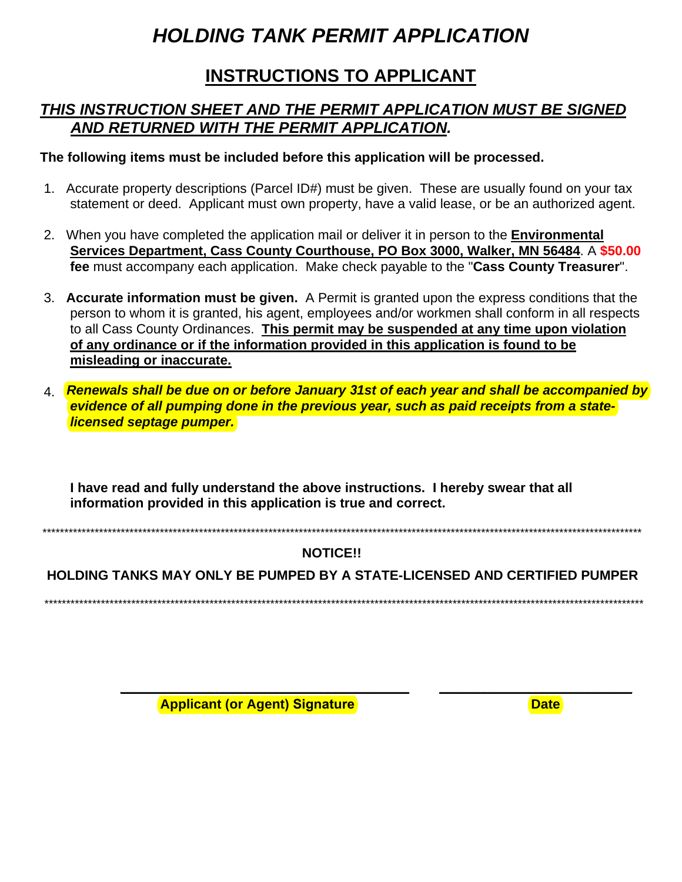# **HOLDING TANK PERMIT APPLICATION**

## **INSTRUCTIONS TO APPLICANT**

### THIS INSTRUCTION SHEET AND THE PERMIT APPLICATION MUST BE SIGNED AND RETURNED WITH THE PERMIT APPLICATION.

The following items must be included before this application will be processed.

- 1. Accurate property descriptions (Parcel ID#) must be given. These are usually found on your tax statement or deed. Applicant must own property, have a valid lease, or be an authorized agent.
- 2. When you have completed the application mail or deliver it in person to the Environmental Services Department, Cass County Courthouse, PO Box 3000, Walker, MN 56484. A \$50.00 fee must accompany each application. Make check payable to the "Cass County Treasurer".
- 3. Accurate information must be given. A Permit is granted upon the express conditions that the person to whom it is granted, his agent, employees and/or workmen shall conform in all respects to all Cass County Ordinances. This permit may be suspended at any time upon violation of any ordinance or if the information provided in this application is found to be misleading or inaccurate.
- 4. Renewals shall be due on or before January 31st of each year and shall be accompanied by evidence of all pumping done in the previous year, such as paid receipts from a statelicensed septage pumper.

I have read and fully understand the above instructions. I hereby swear that all information provided in this application is true and correct.

#### **NOTICE!!**

**HOLDING TANKS MAY ONLY BE PUMPED BY A STATE-LICENSED AND CERTIFIED PUMPER** 

**Applicant (or Agent) Signature** 

**Date**